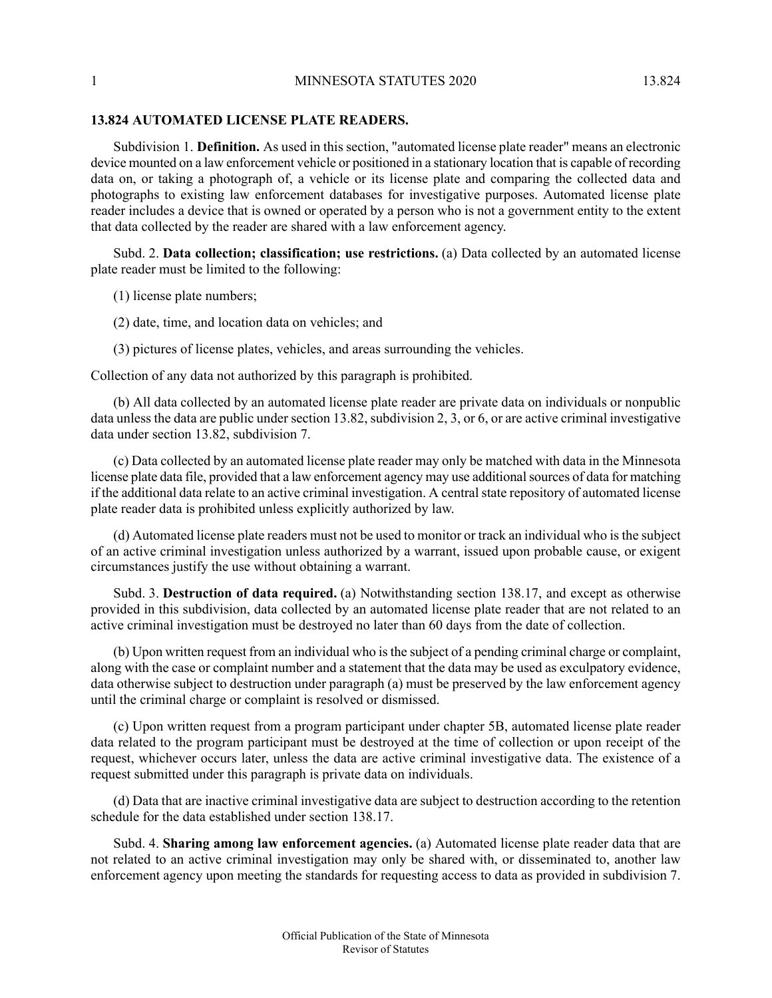## **13.824 AUTOMATED LICENSE PLATE READERS.**

Subdivision 1. **Definition.** As used in this section, "automated license plate reader" means an electronic device mounted on a law enforcement vehicle or positioned in a stationary location that is capable of recording data on, or taking a photograph of, a vehicle or its license plate and comparing the collected data and photographs to existing law enforcement databases for investigative purposes. Automated license plate reader includes a device that is owned or operated by a person who is not a government entity to the extent that data collected by the reader are shared with a law enforcement agency.

Subd. 2. **Data collection; classification; use restrictions.** (a) Data collected by an automated license plate reader must be limited to the following:

- (1) license plate numbers;
- (2) date, time, and location data on vehicles; and
- (3) pictures of license plates, vehicles, and areas surrounding the vehicles.

Collection of any data not authorized by this paragraph is prohibited.

(b) All data collected by an automated license plate reader are private data on individuals or nonpublic data unless the data are public under section 13.82, subdivision 2, 3, or 6, or are active criminal investigative data under section 13.82, subdivision 7.

(c) Data collected by an automated license plate reader may only be matched with data in the Minnesota license plate data file, provided that a law enforcement agency may use additional sources of data for matching if the additional data relate to an active criminal investigation. A central state repository of automated license plate reader data is prohibited unless explicitly authorized by law.

(d) Automated license plate readers must not be used to monitor or track an individual who is the subject of an active criminal investigation unless authorized by a warrant, issued upon probable cause, or exigent circumstances justify the use without obtaining a warrant.

Subd. 3. **Destruction of data required.** (a) Notwithstanding section 138.17, and except as otherwise provided in this subdivision, data collected by an automated license plate reader that are not related to an active criminal investigation must be destroyed no later than 60 days from the date of collection.

(b) Upon written request from an individual who isthe subject of a pending criminal charge or complaint, along with the case or complaint number and a statement that the data may be used as exculpatory evidence, data otherwise subject to destruction under paragraph (a) must be preserved by the law enforcement agency until the criminal charge or complaint is resolved or dismissed.

(c) Upon written request from a program participant under chapter 5B, automated license plate reader data related to the program participant must be destroyed at the time of collection or upon receipt of the request, whichever occurs later, unless the data are active criminal investigative data. The existence of a request submitted under this paragraph is private data on individuals.

(d) Data that are inactive criminal investigative data are subject to destruction according to the retention schedule for the data established under section 138.17.

Subd. 4. **Sharing among law enforcement agencies.** (a) Automated license plate reader data that are not related to an active criminal investigation may only be shared with, or disseminated to, another law enforcement agency upon meeting the standards for requesting access to data as provided in subdivision 7.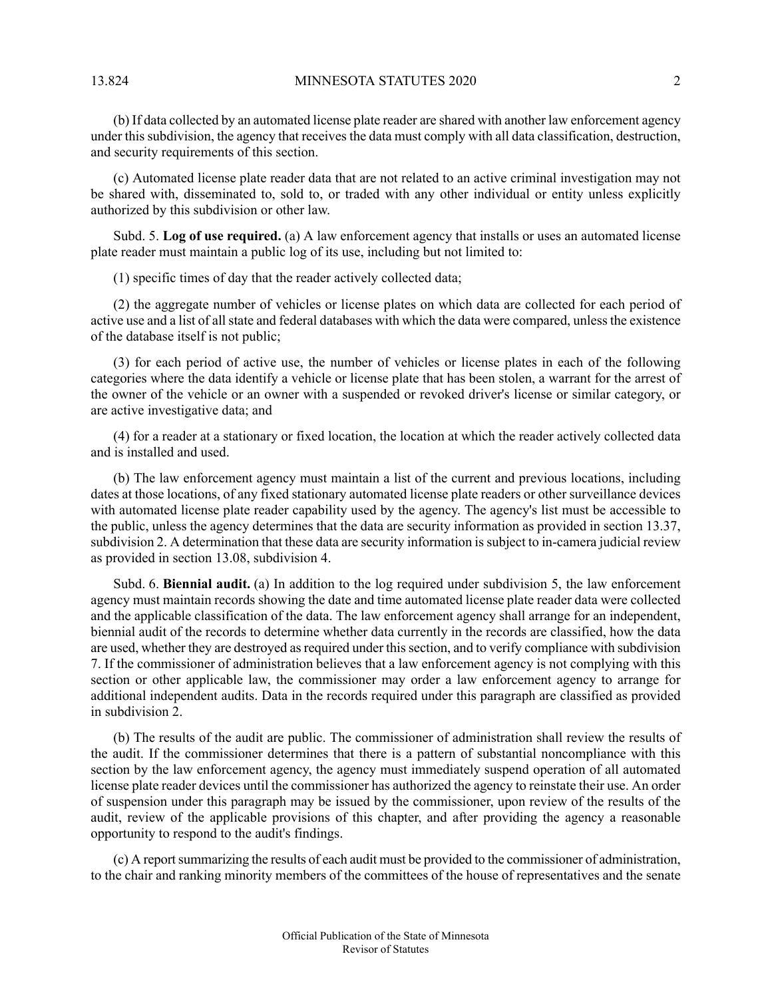(b) If data collected by an automated license plate reader are shared with another law enforcement agency under this subdivision, the agency that receives the data must comply with all data classification, destruction, and security requirements of this section.

(c) Automated license plate reader data that are not related to an active criminal investigation may not be shared with, disseminated to, sold to, or traded with any other individual or entity unless explicitly authorized by this subdivision or other law.

Subd. 5. **Log of use required.** (a) A law enforcement agency that installs or uses an automated license plate reader must maintain a public log of its use, including but not limited to:

(1) specific times of day that the reader actively collected data;

(2) the aggregate number of vehicles or license plates on which data are collected for each period of active use and a list of all state and federal databases with which the data were compared, unless the existence of the database itself is not public;

(3) for each period of active use, the number of vehicles or license plates in each of the following categories where the data identify a vehicle or license plate that has been stolen, a warrant for the arrest of the owner of the vehicle or an owner with a suspended or revoked driver's license or similar category, or are active investigative data; and

(4) for a reader at a stationary or fixed location, the location at which the reader actively collected data and is installed and used.

(b) The law enforcement agency must maintain a list of the current and previous locations, including dates at those locations, of any fixed stationary automated license plate readers or other surveillance devices with automated license plate reader capability used by the agency. The agency's list must be accessible to the public, unless the agency determines that the data are security information as provided in section 13.37, subdivision 2. A determination that these data are security information is subject to in-camera judicial review as provided in section 13.08, subdivision 4.

Subd. 6. **Biennial audit.** (a) In addition to the log required under subdivision 5, the law enforcement agency must maintain records showing the date and time automated license plate reader data were collected and the applicable classification of the data. The law enforcement agency shall arrange for an independent, biennial audit of the records to determine whether data currently in the records are classified, how the data are used, whether they are destroyed as required under this section, and to verify compliance with subdivision 7. If the commissioner of administration believes that a law enforcement agency is not complying with this section or other applicable law, the commissioner may order a law enforcement agency to arrange for additional independent audits. Data in the records required under this paragraph are classified as provided in subdivision 2.

(b) The results of the audit are public. The commissioner of administration shall review the results of the audit. If the commissioner determines that there is a pattern of substantial noncompliance with this section by the law enforcement agency, the agency must immediately suspend operation of all automated license plate reader devices until the commissioner has authorized the agency to reinstate their use. An order of suspension under this paragraph may be issued by the commissioner, upon review of the results of the audit, review of the applicable provisions of this chapter, and after providing the agency a reasonable opportunity to respond to the audit's findings.

(c) A report summarizing the results of each audit must be provided to the commissioner of administration, to the chair and ranking minority members of the committees of the house of representatives and the senate